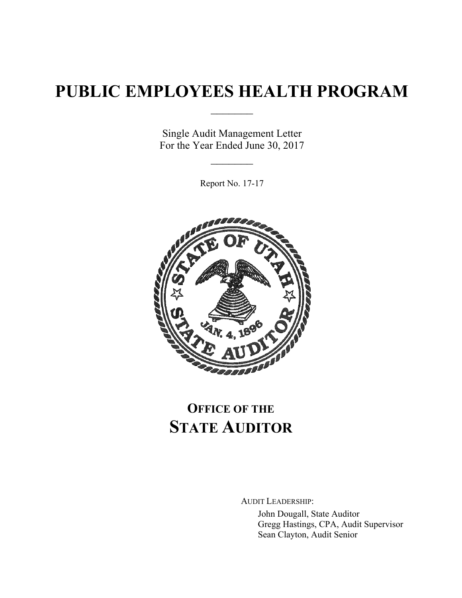# **PUBLIC EMPLOYEES HEALTH PROGRAM**

 $\frac{1}{2}$ 

Single Audit Management Letter For the Year Ended June 30, 2017

 $\frac{1}{2}$ 

Report No. 17-17



# **OFFICE OF THE STATE AUDITOR**

AUDIT LEADERSHIP:

John Dougall, State Auditor Gregg Hastings, CPA, Audit Supervisor Sean Clayton, Audit Senior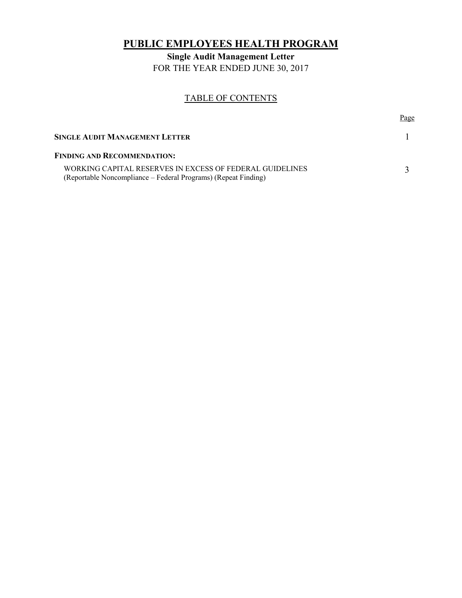# **PUBLIC EMPLOYEES HEALTH PROGRAM**

**Single Audit Management Letter**  FOR THE YEAR ENDED JUNE 30, 2017

## TABLE OF CONTENTS

| SINGLE AUDIT MANAGEMENT LETTER                                                                                             |  |
|----------------------------------------------------------------------------------------------------------------------------|--|
| <b>FINDING AND RECOMMENDATION:</b>                                                                                         |  |
| WORKING CAPITAL RESERVES IN EXCESS OF FEDERAL GUIDELINES<br>(Reportable Noncompliance – Federal Programs) (Repeat Finding) |  |

Page **Page**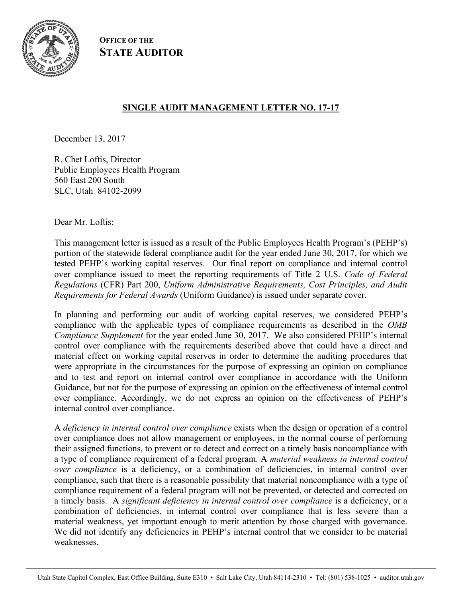

**OFFICE OF THE STATE AUDITOR**

# **SINGLE AUDIT MANAGEMENT LETTER NO. 17-17**

December 13, 2017

R. Chet Loftis, Director Public Employees Health Program 560 East 200 South SLC, Utah 84102-2099

Dear Mr. Loftis:

This management letter is issued as a result of the Public Employees Health Program's (PEHP's) portion of the statewide federal compliance audit for the year ended June 30, 2017, for which we tested PEHP's working capital reserves. Our final report on compliance and internal control over compliance issued to meet the reporting requirements of Title 2 U.S. *Code of Federal Regulations* (CFR) Part 200, *Uniform Administrative Requirements, Cost Principles, and Audit Requirements for Federal Awards* (Uniform Guidance) is issued under separate cover.

In planning and performing our audit of working capital reserves, we considered PEHP's compliance with the applicable types of compliance requirements as described in the *OMB Compliance Supplement* for the year ended June 30, 2017. We also considered PEHP's internal control over compliance with the requirements described above that could have a direct and material effect on working capital reserves in order to determine the auditing procedures that were appropriate in the circumstances for the purpose of expressing an opinion on compliance and to test and report on internal control over compliance in accordance with the Uniform Guidance, but not for the purpose of expressing an opinion on the effectiveness of internal control over compliance. Accordingly, we do not express an opinion on the effectiveness of PEHP's internal control over compliance.

A *deficiency in internal control over compliance* exists when the design or operation of a control over compliance does not allow management or employees, in the normal course of performing their assigned functions, to prevent or to detect and correct on a timely basis noncompliance with a type of compliance requirement of a federal program. A *material weakness in internal control over compliance* is a deficiency, or a combination of deficiencies, in internal control over compliance, such that there is a reasonable possibility that material noncompliance with a type of compliance requirement of a federal program will not be prevented, or detected and corrected on a timely basis. A *significant deficiency in internal control over compliance* is a deficiency, or a combination of deficiencies, in internal control over compliance that is less severe than a material weakness, yet important enough to merit attention by those charged with governance. We did not identify any deficiencies in PEHP's internal control that we consider to be material weaknesses.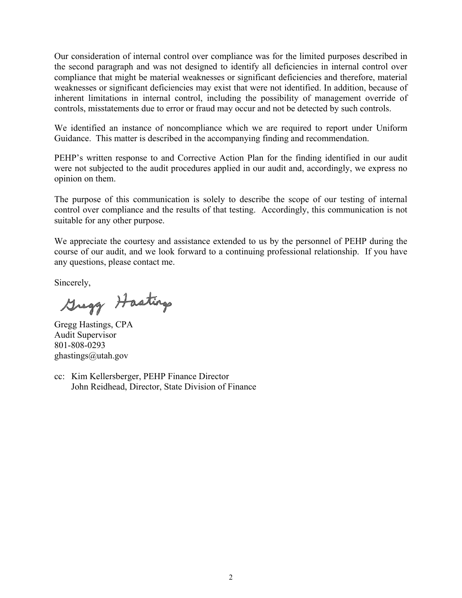Our consideration of internal control over compliance was for the limited purposes described in the second paragraph and was not designed to identify all deficiencies in internal control over compliance that might be material weaknesses or significant deficiencies and therefore, material weaknesses or significant deficiencies may exist that were not identified. In addition, because of inherent limitations in internal control, including the possibility of management override of controls, misstatements due to error or fraud may occur and not be detected by such controls.

We identified an instance of noncompliance which we are required to report under Uniform Guidance. This matter is described in the accompanying finding and recommendation.

PEHP's written response to and Corrective Action Plan for the finding identified in our audit were not subjected to the audit procedures applied in our audit and, accordingly, we express no opinion on them.

The purpose of this communication is solely to describe the scope of our testing of internal control over compliance and the results of that testing. Accordingly, this communication is not suitable for any other purpose.

We appreciate the courtesy and assistance extended to us by the personnel of PEHP during the course of our audit, and we look forward to a continuing professional relationship. If you have any questions, please contact me.

Sincerely,

Gregg Hastings

Gregg Hastings, CPA Audit Supervisor 801-808-0293 ghastings@utah.gov

cc: Kim Kellersberger, PEHP Finance Director John Reidhead, Director, State Division of Finance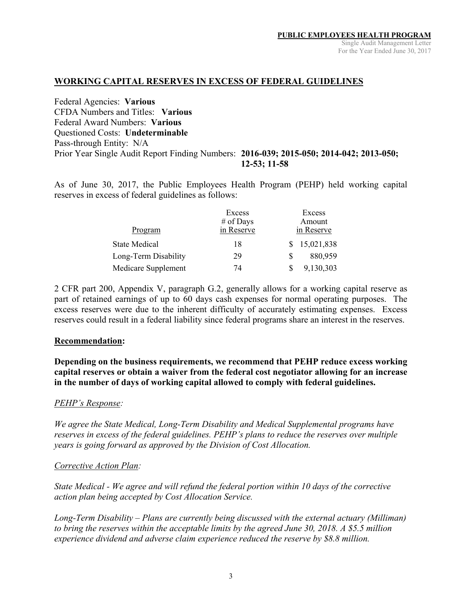### **WORKING CAPITAL RESERVES IN EXCESS OF FEDERAL GUIDELINES**

Federal Agencies: **Various**  CFDA Numbers and Titles: **Various**  Federal Award Numbers: **Various**  Questioned Costs: **Undeterminable** Pass-through Entity: N/A Prior Year Single Audit Report Finding Numbers: **2016-039; 2015-050; 2014-042; 2013-050; 12-53; 11-58**

As of June 30, 2017, the Public Employees Health Program (PEHP) held working capital reserves in excess of federal guidelines as follows:

|                      | Excess     |   | Excess       |
|----------------------|------------|---|--------------|
|                      | # of Days  |   | Amount       |
| Program              | in Reserve |   | in Reserve   |
| <b>State Medical</b> | 18         |   | \$15,021,838 |
| Long-Term Disability | 29         | S | 880,959      |
| Medicare Supplement  | 74         |   | 9,130,303    |

2 CFR part 200, Appendix V, paragraph G.2, generally allows for a working capital reserve as part of retained earnings of up to 60 days cash expenses for normal operating purposes. The excess reserves were due to the inherent difficulty of accurately estimating expenses. Excess reserves could result in a federal liability since federal programs share an interest in the reserves.

#### **Recommendation:**

**Depending on the business requirements, we recommend that PEHP reduce excess working capital reserves or obtain a waiver from the federal cost negotiator allowing for an increase in the number of days of working capital allowed to comply with federal guidelines.** 

### *PEHP's Response:*

*We agree the State Medical, Long-Term Disability and Medical Supplemental programs have reserves in excess of the federal guidelines. PEHP's plans to reduce the reserves over multiple years is going forward as approved by the Division of Cost Allocation.* 

### *Corrective Action Plan:*

*State Medical - We agree and will refund the federal portion within 10 days of the corrective action plan being accepted by Cost Allocation Service.* 

*Long-Term Disability – Plans are currently being discussed with the external actuary (Milliman) to bring the reserves within the acceptable limits by the agreed June 30, 2018. A \$5.5 million experience dividend and adverse claim experience reduced the reserve by \$8.8 million.*